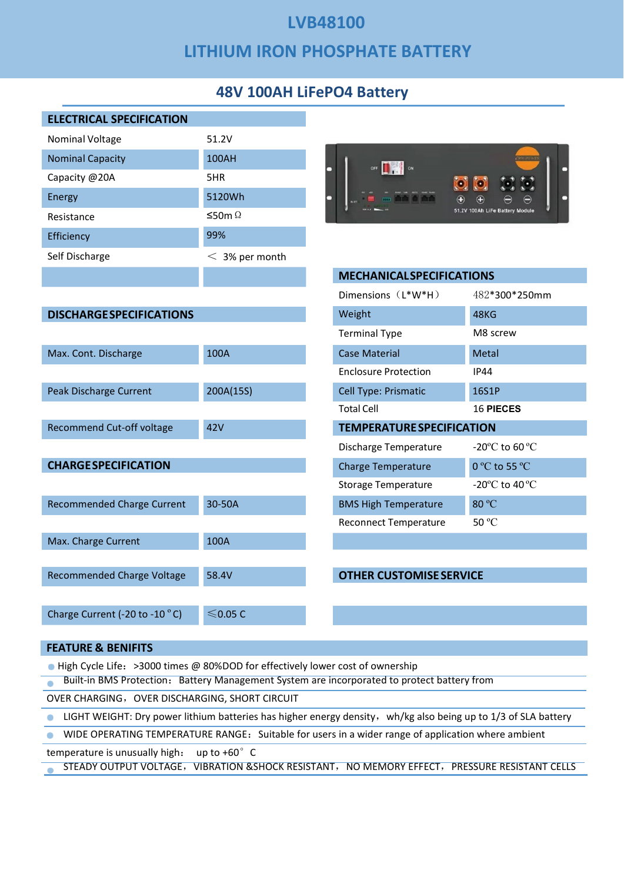# LVB48100 LVB48100<br>LITHIUM IRON PHOSPHATE BATTERY<br>48V 100AH LiFePO4 Battery

|                                                                                                                                               | <b>LVB48100</b>                       |
|-----------------------------------------------------------------------------------------------------------------------------------------------|---------------------------------------|
|                                                                                                                                               | <b>LITHIUM IRON PHOSPHATE BATTERY</b> |
|                                                                                                                                               | <b>48V 100AH LiFePO4 Battery</b>      |
| <b>ELECTRICAL SPECIFICATION</b>                                                                                                               |                                       |
| Nominal Voltage                                                                                                                               | 51.2V<br>100AH                        |
| <b>Nominal Capacity</b><br>Capacity @20A                                                                                                      | 5HR                                   |
| Energy                                                                                                                                        | 5120Wh                                |
| Resistance                                                                                                                                    | ≤50m Ω                                |
| Efficiency                                                                                                                                    | 99%                                   |
| Self Discharge                                                                                                                                | $<$ 3% per month                      |
|                                                                                                                                               |                                       |
|                                                                                                                                               |                                       |
| <b>DISCHARGE SPECIFICATIONS</b>                                                                                                               |                                       |
|                                                                                                                                               |                                       |
| Max. Cont. Discharge                                                                                                                          | 100A                                  |
|                                                                                                                                               |                                       |
| Peak Discharge Current                                                                                                                        | 200A(15S)                             |
|                                                                                                                                               |                                       |
| Recommend Cut-off voltage                                                                                                                     | 42V                                   |
|                                                                                                                                               |                                       |
| <b>CHARGE SPECIFICATION</b>                                                                                                                   |                                       |
|                                                                                                                                               |                                       |
| <b>Recommended Charge Current</b>                                                                                                             | 30-50A                                |
|                                                                                                                                               |                                       |
| Max. Charge Current                                                                                                                           | 100A                                  |
| Recommended Charge Voltage                                                                                                                    | 58.4V                                 |
| Charge Current (-20 to -10 °C)                                                                                                                | $≤$ 0.05 C                            |
| <b>FEATURE &amp; BENIFITS</b>                                                                                                                 |                                       |
| • High Cycle Life: >3000 times @ 80%DOD for effectively lower cost of ownership                                                               |                                       |
| Built-in BMS Protection: Battery Management System are incorporated to protect battery from<br>OVER CHARGING, OVER DISCHARGING, SHORT CIRCUIT |                                       |
| LIGHT WEIGHT: Dry power lithium batteries has higher energy density, wh/kg also being up to 1/3 of SLA battery<br>$\bullet$                   |                                       |
| WIDE OPERATING TEMPERATURE RANGE: Suitable for users in a wider range of application where ambient<br>$\bullet$                               |                                       |
| temperature is unusually high: up to +60° C                                                                                                   |                                       |
| STEADY OUTPUT VOLTAGE, VIBRATION & SHOCK RESISTANT, NO MEMORY EFFECT, PRESSURE RESISTANT CELLS                                                |                                       |
|                                                                                                                                               |                                       |
|                                                                                                                                               |                                       |
|                                                                                                                                               |                                       |
|                                                                                                                                               |                                       |